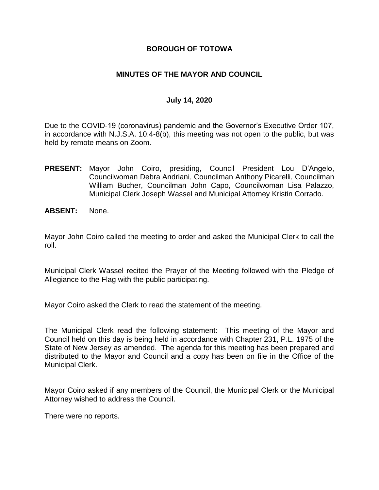### **BOROUGH OF TOTOWA**

### **MINUTES OF THE MAYOR AND COUNCIL**

### **July 14, 2020**

Due to the COVID-19 (coronavirus) pandemic and the Governor's Executive Order 107, in accordance with N.J.S.A. 10:4-8(b), this meeting was not open to the public, but was held by remote means on Zoom.

- **PRESENT:** Mayor John Coiro, presiding, Council President Lou D'Angelo, Councilwoman Debra Andriani, Councilman Anthony Picarelli, Councilman William Bucher, Councilman John Capo, Councilwoman Lisa Palazzo, Municipal Clerk Joseph Wassel and Municipal Attorney Kristin Corrado.
- **ABSENT:** None.

Mayor John Coiro called the meeting to order and asked the Municipal Clerk to call the roll.

Municipal Clerk Wassel recited the Prayer of the Meeting followed with the Pledge of Allegiance to the Flag with the public participating.

Mayor Coiro asked the Clerk to read the statement of the meeting.

The Municipal Clerk read the following statement: This meeting of the Mayor and Council held on this day is being held in accordance with Chapter 231, P.L. 1975 of the State of New Jersey as amended. The agenda for this meeting has been prepared and distributed to the Mayor and Council and a copy has been on file in the Office of the Municipal Clerk.

Mayor Coiro asked if any members of the Council, the Municipal Clerk or the Municipal Attorney wished to address the Council.

There were no reports.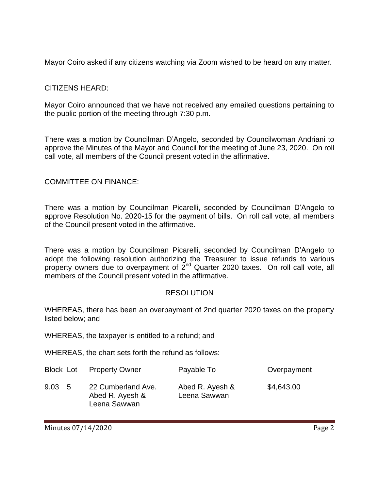Mayor Coiro asked if any citizens watching via Zoom wished to be heard on any matter.

## CITIZENS HEARD:

Mayor Coiro announced that we have not received any emailed questions pertaining to the public portion of the meeting through 7:30 p.m.

There was a motion by Councilman D'Angelo, seconded by Councilwoman Andriani to approve the Minutes of the Mayor and Council for the meeting of June 23, 2020. On roll call vote, all members of the Council present voted in the affirmative.

## COMMITTEE ON FINANCE:

There was a motion by Councilman Picarelli, seconded by Councilman D'Angelo to approve Resolution No. 2020-15 for the payment of bills. On roll call vote, all members of the Council present voted in the affirmative.

There was a motion by Councilman Picarelli, seconded by Councilman D'Angelo to adopt the following resolution authorizing the Treasurer to issue refunds to various property owners due to overpayment of 2nd Quarter 2020 taxes. On roll call vote, all members of the Council present voted in the affirmative.

## RESOLUTION

WHEREAS, there has been an overpayment of 2nd quarter 2020 taxes on the property listed below; and

WHEREAS, the taxpayer is entitled to a refund; and

WHEREAS, the chart sets forth the refund as follows:

| Block Lot      | <b>Property Owner</b>                                 | Payable To                      | Overpayment |
|----------------|-------------------------------------------------------|---------------------------------|-------------|
| $9.03 \quad 5$ | 22 Cumberland Ave.<br>Abed R. Ayesh &<br>Leena Sawwan | Abed R. Ayesh &<br>Leena Sawwan | \$4,643.00  |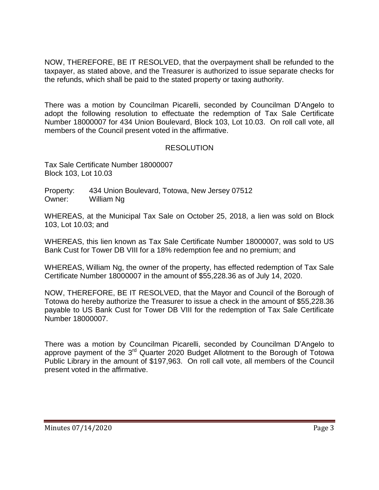NOW, THEREFORE, BE IT RESOLVED, that the overpayment shall be refunded to the taxpayer, as stated above, and the Treasurer is authorized to issue separate checks for the refunds, which shall be paid to the stated property or taxing authority.

There was a motion by Councilman Picarelli, seconded by Councilman D'Angelo to adopt the following resolution to effectuate the redemption of Tax Sale Certificate Number 18000007 for 434 Union Boulevard, Block 103, Lot 10.03. On roll call vote, all members of the Council present voted in the affirmative.

## RESOLUTION

Tax Sale Certificate Number 18000007 Block 103, Lot 10.03

Property: 434 Union Boulevard, Totowa, New Jersey 07512 Owner: William Ng

WHEREAS, at the Municipal Tax Sale on October 25, 2018, a lien was sold on Block 103, Lot 10.03; and

WHEREAS, this lien known as Tax Sale Certificate Number 18000007, was sold to US Bank Cust for Tower DB VIII for a 18% redemption fee and no premium; and

WHEREAS, William Ng, the owner of the property, has effected redemption of Tax Sale Certificate Number 18000007 in the amount of \$55,228.36 as of July 14, 2020.

NOW, THEREFORE, BE IT RESOLVED, that the Mayor and Council of the Borough of Totowa do hereby authorize the Treasurer to issue a check in the amount of \$55,228.36 payable to US Bank Cust for Tower DB VIII for the redemption of Tax Sale Certificate Number 18000007.

There was a motion by Councilman Picarelli, seconded by Councilman D'Angelo to approve payment of the 3<sup>rd</sup> Quarter 2020 Budget Allotment to the Borough of Totowa Public Library in the amount of \$197,963. On roll call vote, all members of the Council present voted in the affirmative.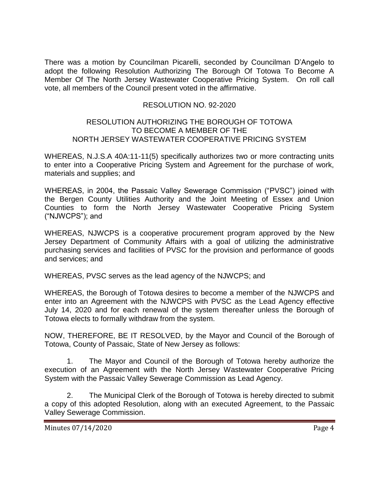There was a motion by Councilman Picarelli, seconded by Councilman D'Angelo to adopt the following Resolution Authorizing The Borough Of Totowa To Become A Member Of The North Jersey Wastewater Cooperative Pricing System. On roll call vote, all members of the Council present voted in the affirmative.

## RESOLUTION NO. 92-2020

#### RESOLUTION AUTHORIZING THE BOROUGH OF TOTOWA TO BECOME A MEMBER OF THE NORTH JERSEY WASTEWATER COOPERATIVE PRICING SYSTEM

WHEREAS, N.J.S.A 40A:11-11(5) specifically authorizes two or more contracting units to enter into a Cooperative Pricing System and Agreement for the purchase of work, materials and supplies; and

WHEREAS, in 2004, the Passaic Valley Sewerage Commission ("PVSC") joined with the Bergen County Utilities Authority and the Joint Meeting of Essex and Union Counties to form the North Jersey Wastewater Cooperative Pricing System ("NJWCPS"); and

WHEREAS, NJWCPS is a cooperative procurement program approved by the New Jersey Department of Community Affairs with a goal of utilizing the administrative purchasing services and facilities of PVSC for the provision and performance of goods and services; and

WHEREAS, PVSC serves as the lead agency of the NJWCPS; and

WHEREAS, the Borough of Totowa desires to become a member of the NJWCPS and enter into an Agreement with the NJWCPS with PVSC as the Lead Agency effective July 14, 2020 and for each renewal of the system thereafter unless the Borough of Totowa elects to formally withdraw from the system.

NOW, THEREFORE, BE IT RESOLVED, by the Mayor and Council of the Borough of Totowa, County of Passaic, State of New Jersey as follows:

1. The Mayor and Council of the Borough of Totowa hereby authorize the execution of an Agreement with the North Jersey Wastewater Cooperative Pricing System with the Passaic Valley Sewerage Commission as Lead Agency.

2. The Municipal Clerk of the Borough of Totowa is hereby directed to submit a copy of this adopted Resolution, along with an executed Agreement, to the Passaic Valley Sewerage Commission.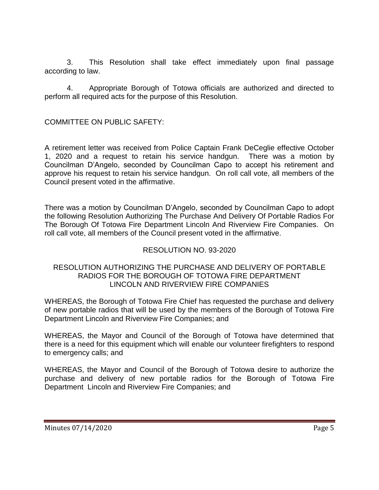3. This Resolution shall take effect immediately upon final passage according to law.

4. Appropriate Borough of Totowa officials are authorized and directed to perform all required acts for the purpose of this Resolution.

COMMITTEE ON PUBLIC SAFETY:

A retirement letter was received from Police Captain Frank DeCeglie effective October 1, 2020 and a request to retain his service handgun. There was a motion by Councilman D'Angelo, seconded by Councilman Capo to accept his retirement and approve his request to retain his service handgun. On roll call vote, all members of the Council present voted in the affirmative.

There was a motion by Councilman D'Angelo, seconded by Councilman Capo to adopt the following Resolution Authorizing The Purchase And Delivery Of Portable Radios For The Borough Of Totowa Fire Department Lincoln And Riverview Fire Companies. On roll call vote, all members of the Council present voted in the affirmative.

## RESOLUTION NO. 93-2020

### RESOLUTION AUTHORIZING THE PURCHASE AND DELIVERY OF PORTABLE RADIOS FOR THE BOROUGH OF TOTOWA FIRE DEPARTMENT LINCOLN AND RIVERVIEW FIRE COMPANIES

WHEREAS, the Borough of Totowa Fire Chief has requested the purchase and delivery of new portable radios that will be used by the members of the Borough of Totowa Fire Department Lincoln and Riverview Fire Companies; and

WHEREAS, the Mayor and Council of the Borough of Totowa have determined that there is a need for this equipment which will enable our volunteer firefighters to respond to emergency calls; and

WHEREAS, the Mayor and Council of the Borough of Totowa desire to authorize the purchase and delivery of new portable radios for the Borough of Totowa Fire Department Lincoln and Riverview Fire Companies; and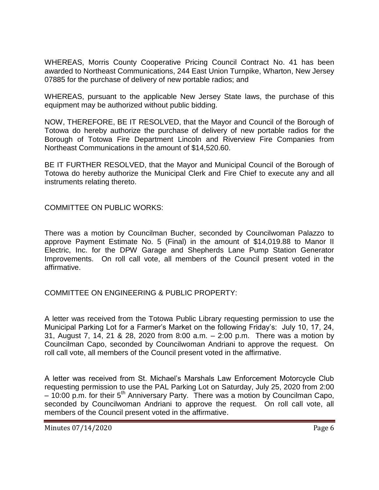WHEREAS, Morris County Cooperative Pricing Council Contract No. 41 has been awarded to Northeast Communications, 244 East Union Turnpike, Wharton, New Jersey 07885 for the purchase of delivery of new portable radios; and

WHEREAS, pursuant to the applicable New Jersey State laws, the purchase of this equipment may be authorized without public bidding.

NOW, THEREFORE, BE IT RESOLVED, that the Mayor and Council of the Borough of Totowa do hereby authorize the purchase of delivery of new portable radios for the Borough of Totowa Fire Department Lincoln and Riverview Fire Companies from Northeast Communications in the amount of \$14,520.60.

BE IT FURTHER RESOLVED, that the Mayor and Municipal Council of the Borough of Totowa do hereby authorize the Municipal Clerk and Fire Chief to execute any and all instruments relating thereto.

COMMITTEE ON PUBLIC WORKS:

There was a motion by Councilman Bucher, seconded by Councilwoman Palazzo to approve Payment Estimate No. 5 (Final) in the amount of \$14,019.88 to Manor II Electric, Inc. for the DPW Garage and Shepherds Lane Pump Station Generator Improvements. On roll call vote, all members of the Council present voted in the affirmative.

COMMITTEE ON ENGINEERING & PUBLIC PROPERTY:

A letter was received from the Totowa Public Library requesting permission to use the Municipal Parking Lot for a Farmer's Market on the following Friday's: July 10, 17, 24, 31, August 7, 14, 21 & 28, 2020 from 8:00 a.m. – 2:00 p.m. There was a motion by Councilman Capo, seconded by Councilwoman Andriani to approve the request. On roll call vote, all members of the Council present voted in the affirmative.

A letter was received from St. Michael's Marshals Law Enforcement Motorcycle Club requesting permission to use the PAL Parking Lot on Saturday, July 25, 2020 from 2:00  $-10:00$  p.m. for their 5<sup>th</sup> Anniversary Party. There was a motion by Councilman Capo, seconded by Councilwoman Andriani to approve the request. On roll call vote, all members of the Council present voted in the affirmative.